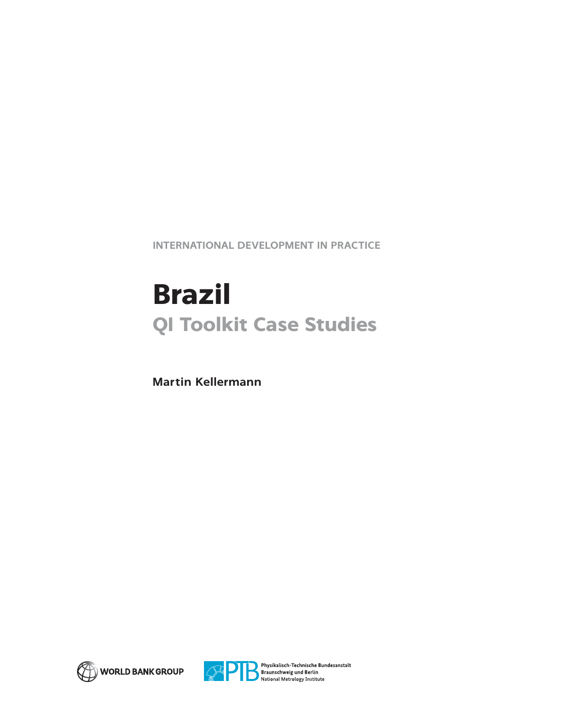**INTERNATIONAL DEVELOPMENT IN PRACTICE**

# **Brazil QI Toolkit Case Studies**

**Martin Kellermann**





**Example 15 Physikalisch-Technische Bundesanstalt**<br>Braunschweig und Berlin<br>National Metrology Institute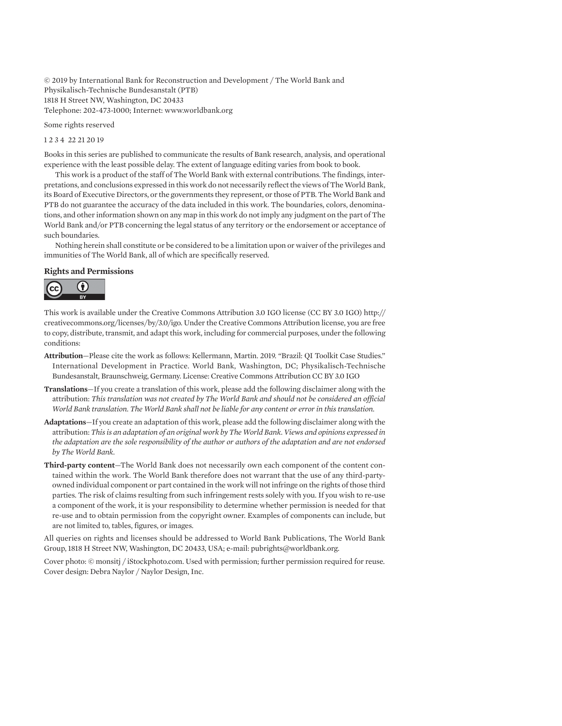© 2019 by International Bank for Reconstruction and Development / The World Bank and Physikalisch-Technische Bundesanstalt (PTB) 1818 H Street NW, Washington, DC 20433 Telephone: 202-473-1000; Internet: www.worldbank.org

Some rights reserved

1 2 3 4 22 21 20 19

Books in this series are published to communicate the results of Bank research, analysis, and operational experience with the least possible delay. The extent of language editing varies from book to book.

This work is a product of the staff of The World Bank with external contributions. The findings, interpretations, and conclusions expressed in this work do not necessarily reflect the views of The World Bank, its Board of Executive Directors, or the governments they represent, or those of PTB. The World Bank and PTB do not guarantee the accuracy of the data included in this work. The boundaries, colors, denominations, and other information shown on any map in this work do not imply any judgment on the part of The World Bank and/or PTB concerning the legal status of any territory or the endorsement or acceptance of such boundaries.

Nothing herein shall constitute or be considered to be a limitation upon or waiver of the privileges and immunities of The World Bank, all of which are specifically reserved.

#### **Rights and Permissions**



This work is available under the Creative Commons Attribution 3.0 IGO license (CC BY 3.0 IGO) http:// creativecommons.org/licenses/by/3.0/igo. Under the Creative Commons Attribution license, you are free to copy, distribute, transmit, and adapt this work, including for commercial purposes, under the following conditions:

- **Attribution**—Please cite the work as follows: Kellermann, Martin. 2019. "Brazil: QI Toolkit Case Studies." International Development in Practice. World Bank, Washington, DC; Physikalisch-Technische Bundesanstalt, Braunschweig, Germany. License: Creative Commons Attribution CC BY 3.0 IGO
- **Translations**—If you create a translation of this work, please add the following disclaimer along with the attribution: *This translation was not created by The World Bank and should not be considered an official World Bank translation. The World Bank shall not be liable for any content or error in this translation.*
- **Adaptations**—If you create an adaptation of this work, please add the following disclaimer along with the attribution: *This is an adaptation of an original work by The World Bank. Views and opinions expressed in the adaptation are the sole responsibility of the author or authors of the adaptation and are not endorsed by The World Bank.*
- **Third-party content**—The World Bank does not necessarily own each component of the content contained within the work. The World Bank therefore does not warrant that the use of any third-partyowned individual component or part contained in the work will not infringe on the rights of those third parties. The risk of claims resulting from such infringement rests solely with you. If you wish to re-use a component of the work, it is your responsibility to determine whether permission is needed for that re-use and to obtain permission from the copyright owner. Examples of components can include, but are not limited to, tables, figures, or images.

All queries on rights and licenses should be addressed to World Bank Publications, The World Bank Group, 1818 H Street NW, Washington, DC 20433, USA; e-mail: pubrights@worldbank.org.

Cover photo: © monsitj / iStockphoto.com. Used with permission; further permission required for reuse. Cover design: Debra Naylor / Naylor Design, Inc.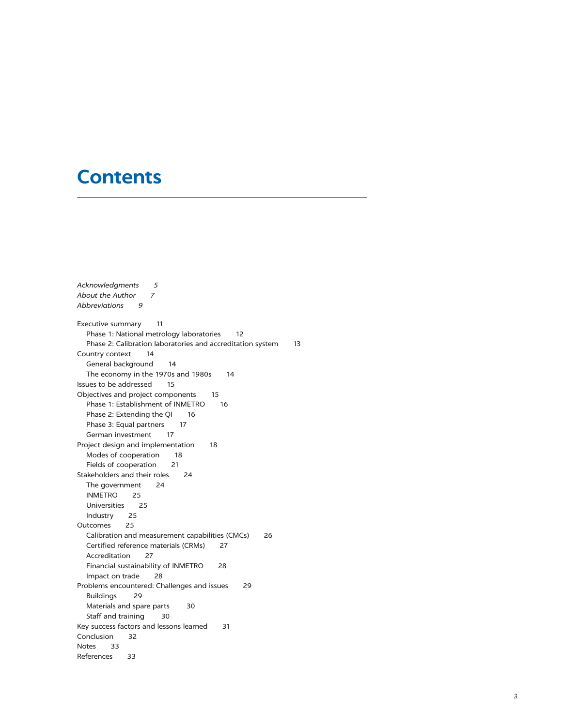## **Contents**

*Acknowledgments 5*

*About the Author 7 Abbreviations 9* Executive summary 11 Phase 1: National metrology laboratories 12 Phase 2: Calibration laboratories and accreditation system 13 Country context 14 General background 14 The economy in the 1970s and 1980s 14 Issues to be addressed 15 Objectives and project components 15 Phase 1: Establishment of INMETRO 16 Phase 2: Extending the QI 16 Phase 3: Equal partners 17 German investment 17 Project design and implementation 18 Modes of cooperation 18 Fields of cooperation 21 Stakeholders and their roles 24 The government 24 INMETRO 25 Universities 25 Industry 25 Outcomes 25 Calibration and measurement capabilities (CMCs) 26 Certified reference materials (CRMs) 27 Accreditation 27 Financial sustainability of INMETRO 28 Impact on trade 28 Problems encountered: Challenges and issues 29 Buildings 29 Materials and spare parts 30 Staff and training 30 Key success factors and lessons learned 31 Conclusion 32 Notes 33 References 33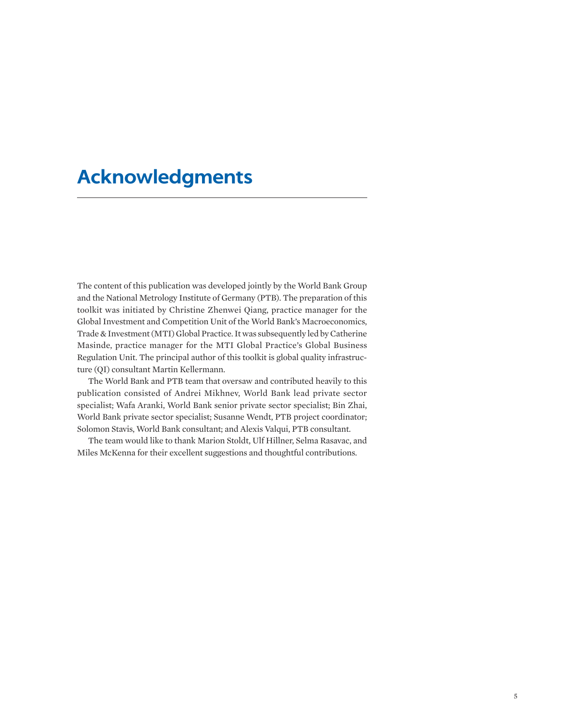## **Acknowledgments**

The content of this publication was developed jointly by the World Bank Group and the National Metrology Institute of Germany (PTB). The preparation of this toolkit was initiated by Christine Zhenwei Qiang, practice manager for the Global Investment and Competition Unit of the World Bank's Macroeconomics, Trade & Investment (MTI) Global Practice. It was subsequently led by Catherine Masinde, practice manager for the MTI Global Practice's Global Business Regulation Unit. The principal author of this toolkit is global quality infrastructure (QI) consultant Martin Kellermann.

The World Bank and PTB team that oversaw and contributed heavily to this publication consisted of Andrei Mikhnev, World Bank lead private sector specialist; Wafa Aranki, World Bank senior private sector specialist; Bin Zhai, World Bank private sector specialist; Susanne Wendt, PTB project coordinator; Solomon Stavis, World Bank consultant; and Alexis Valqui, PTB consultant.

The team would like to thank Marion Stoldt, Ulf Hillner, Selma Rasavac, and Miles McKenna for their excellent suggestions and thoughtful contributions.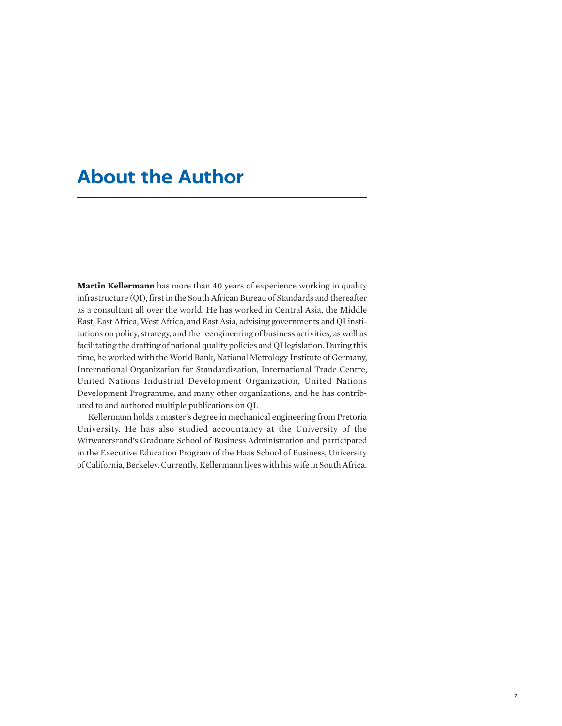## **About the Author**

**Martin Kellermann** has more than 40 years of experience working in quality infrastructure (QI), first in the South African Bureau of Standards and thereafter as a consultant all over the world. He has worked in Central Asia, the Middle East, East Africa, West Africa, and East Asia, advising governments and QI institutions on policy, strategy, and the reengineering of business activities, as well as facilitating the drafting of national quality policies and QI legislation. During this time, he worked with the World Bank, National Metrology Institute of Germany, International Organization for Standardization, International Trade Centre, United Nations Industrial Development Organization, United Nations Development Programme, and many other organizations, and he has contributed to and authored multiple publications on QI.

Kellermann holds a master's degree in mechanical engineering from Pretoria University. He has also studied accountancy at the University of the Witwatersrand's Graduate School of Business Administration and participated in the Executive Education Program of the Haas School of Business, University of California, Berkeley. Currently, Kellermann lives with his wife in South Africa.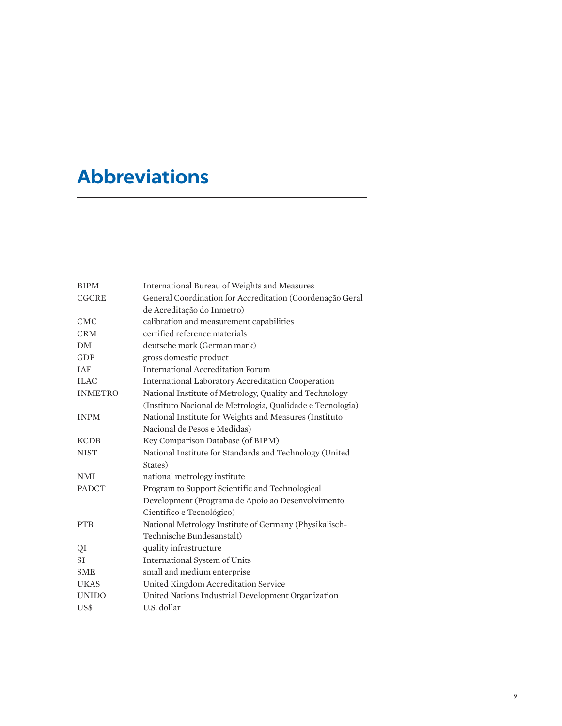## **Abbreviations**

| <b>BIPM</b>    | International Bureau of Weights and Measures               |  |
|----------------|------------------------------------------------------------|--|
| <b>CGCRE</b>   | General Coordination for Accreditation (Coordenação Geral  |  |
|                | de Acreditação do Inmetro)                                 |  |
| <b>CMC</b>     | calibration and measurement capabilities                   |  |
| <b>CRM</b>     | certified reference materials                              |  |
| <b>DM</b>      | deutsche mark (German mark)                                |  |
| GDP            | gross domestic product                                     |  |
| <b>TAF</b>     | <b>International Accreditation Forum</b>                   |  |
| <b>ILAC</b>    | <b>International Laboratory Accreditation Cooperation</b>  |  |
| <b>INMETRO</b> | National Institute of Metrology, Quality and Technology    |  |
|                | (Instituto Nacional de Metrologia, Qualidade e Tecnologia) |  |
| <b>INPM</b>    | National Institute for Weights and Measures (Instituto     |  |
|                | Nacional de Pesos e Medidas)                               |  |
| <b>KCDB</b>    | Key Comparison Database (of BIPM)                          |  |
| <b>NIST</b>    | National Institute for Standards and Technology (United    |  |
|                | States)                                                    |  |
| <b>NMI</b>     | national metrology institute                               |  |
| <b>PADCT</b>   | Program to Support Scientific and Technological            |  |
|                | Development (Programa de Apoio ao Desenvolvimento          |  |
|                | Científico e Tecnológico)                                  |  |
| <b>PTB</b>     | National Metrology Institute of Germany (Physikalisch-     |  |
|                | Technische Bundesanstalt)                                  |  |
| QI             | quality infrastructure                                     |  |
| SI <sub></sub> | <b>International System of Units</b>                       |  |
| <b>SME</b>     | small and medium enterprise                                |  |
| <b>UKAS</b>    | United Kingdom Accreditation Service                       |  |
| <b>UNIDO</b>   | United Nations Industrial Development Organization         |  |
| US\$           | U.S. dollar                                                |  |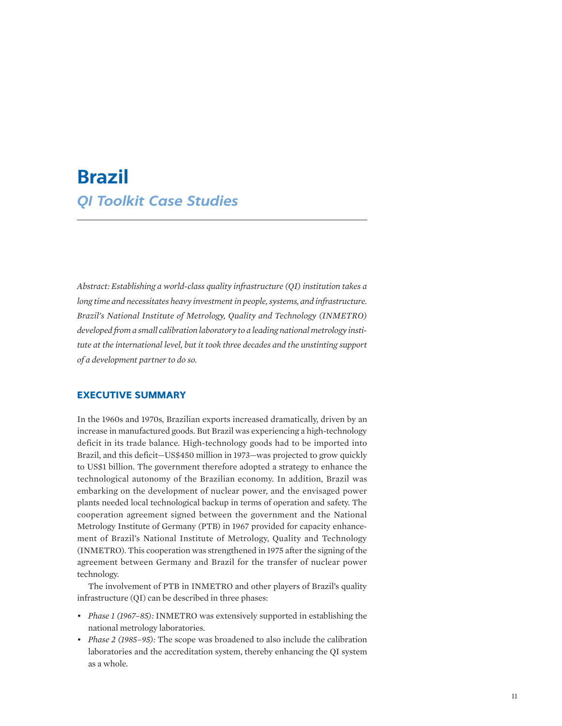## **Brazil** *QI Toolkit Case Studies*

*Abstract: Establishing a world-class quality infrastructure (QI) institution takes a long time and necessitates heavy investment in people, systems, and infrastructure. Brazil's National Institute of Metrology, Quality and Technology (INMETRO) developed from a small calibration laboratory to a leading national metrology institute at the international level, but it took three decades and the unstinting support of a development partner to do so.* 

## **EXECUTIVE SUMMARY**

In the 1960s and 1970s, Brazilian exports increased dramatically, driven by an increase in manufactured goods. But Brazil was experiencing a high-technology deficit in its trade balance. High-technology goods had to be imported into Brazil, and this deficit—US\$450 million in 1973—was projected to grow quickly to US\$1 billion. The government therefore adopted a strategy to enhance the technological autonomy of the Brazilian economy. In addition, Brazil was embarking on the development of nuclear power, and the envisaged power plants needed local technological backup in terms of operation and safety. The cooperation agreement signed between the government and the National Metrology Institute of Germany (PTB) in 1967 provided for capacity enhancement of Brazil's National Institute of Metrology, Quality and Technology (INMETRO). This cooperation was strengthened in 1975 after the signing of the agreement between Germany and Brazil for the transfer of nuclear power technology.

The involvement of PTB in INMETRO and other players of Brazil's quality infrastructure (QI) can be described in three phases:

- *Phase 1 (1967–85):* INMETRO was extensively supported in establishing the national metrology laboratories.
- *Phase 2 (1985–95):* The scope was broadened to also include the calibration laboratories and the accreditation system, thereby enhancing the QI system as a whole.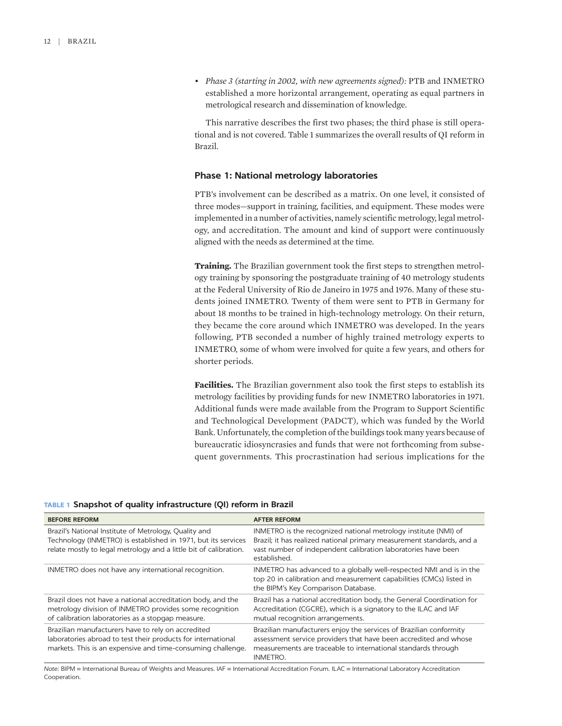• *Phase 3 (starting in 2002, with new agreements signed):* PTB and INMETRO established a more horizontal arrangement, operating as equal partners in metrological research and dissemination of knowledge.

This narrative describes the first two phases; the third phase is still operational and is not covered. Table 1 summarizes the overall results of QI reform in Brazil.

#### **Phase 1: National metrology laboratories**

PTB's involvement can be described as a matrix. On one level, it consisted of three modes—support in training, facilities, and equipment. These modes were implemented in a number of activities, namely scientific metrology, legal metrology, and accreditation. The amount and kind of support were continuously aligned with the needs as determined at the time.

**Training.** The Brazilian government took the first steps to strengthen metrology training by sponsoring the postgraduate training of 40 metrology students at the Federal University of Rio de Janeiro in 1975 and 1976. Many of these students joined INMETRO. Twenty of them were sent to PTB in Germany for about 18 months to be trained in high-technology metrology. On their return, they became the core around which INMETRO was developed. In the years following, PTB seconded a number of highly trained metrology experts to INMETRO, some of whom were involved for quite a few years, and others for shorter periods.

**Facilities.** The Brazilian government also took the first steps to establish its metrology facilities by providing funds for new INMETRO laboratories in 1971. Additional funds were made available from the Program to Support Scientific and Technological Development (PADCT), which was funded by the World Bank. Unfortunately, the completion of the buildings took many years because of bureaucratic idiosyncrasies and funds that were not forthcoming from subsequent governments. This procrastination had serious implications for the

#### **TABLE 1 Snapshot of quality infrastructure (QI) reform in Brazil**

| <b>BEFORE REFORM</b>                                                                                                                                                                        | <b>AFTER REFORM</b>                                                                                                                                                                                                        |
|---------------------------------------------------------------------------------------------------------------------------------------------------------------------------------------------|----------------------------------------------------------------------------------------------------------------------------------------------------------------------------------------------------------------------------|
| Brazil's National Institute of Metrology, Quality and<br>Technology (INMETRO) is established in 1971, but its services<br>relate mostly to legal metrology and a little bit of calibration. | INMETRO is the recognized national metrology institute (NMI) of<br>Brazil; it has realized national primary measurement standards, and a<br>vast number of independent calibration laboratories have been<br>established.  |
| INMETRO does not have any international recognition.                                                                                                                                        | INMETRO has advanced to a globally well-respected NMI and is in the<br>top 20 in calibration and measurement capabilities (CMCs) listed in<br>the BIPM's Key Comparison Database.                                          |
| Brazil does not have a national accreditation body, and the<br>metrology division of INMETRO provides some recognition<br>of calibration laboratories as a stopgap measure.                 | Brazil has a national accreditation body, the General Coordination for<br>Accreditation (CGCRE), which is a signatory to the ILAC and IAF<br>mutual recognition arrangements.                                              |
| Brazilian manufacturers have to rely on accredited<br>laboratories abroad to test their products for international<br>markets. This is an expensive and time-consuming challenge.           | Brazilian manufacturers enjoy the services of Brazilian conformity<br>assessment service providers that have been accredited and whose<br>measurements are traceable to international standards through<br><b>INMETRO.</b> |

*Note:* BIPM = International Bureau of Weights and Measures. IAF = International Accreditation Forum. ILAC = International Laboratory Accreditation Cooperation.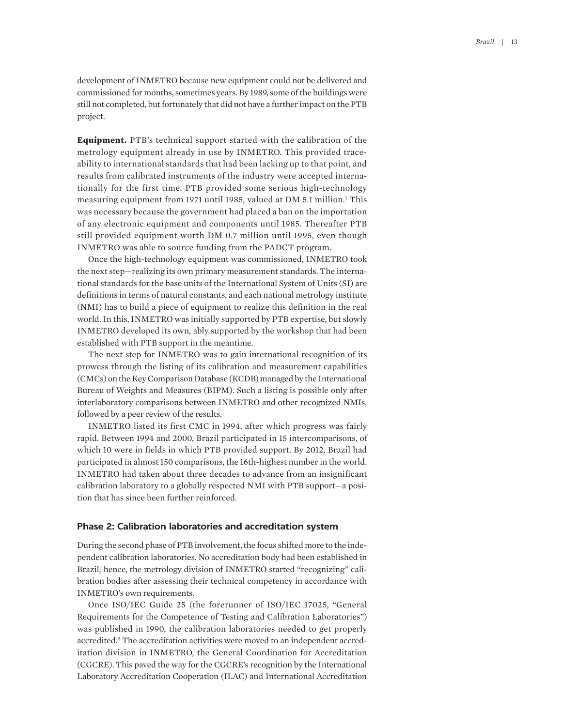development of INMETRO because new equipment could not be delivered and commissioned for months, sometimes years. By 1989, some of the buildings were still not completed, but fortunately that did not have a further impact on the PTB project.

**Equipment.** PTB's technical support started with the calibration of the metrology equipment already in use by INMETRO. This provided traceability to international standards that had been lacking up to that point, and results from calibrated instruments of the industry were accepted internationally for the first time. PTB provided some serious high-technology measuring equipment from 1971 until 1985, valued at DM 5.1 million.<sup>1</sup> This was necessary because the government had placed a ban on the importation of any electronic equipment and components until 1985. Thereafter PTB still provided equipment worth DM 0.7 million until 1995, even though INMETRO was able to source funding from the PADCT program.

Once the high-technology equipment was commissioned, INMETRO took the next step—realizing its own primary measurement standards. The international standards for the base units of the International System of Units (SI) are definitions in terms of natural constants, and each national metrology institute (NMI) has to build a piece of equipment to realize this definition in the real world. In this, INMETRO was initially supported by PTB expertise, but slowly INMETRO developed its own, ably supported by the workshop that had been established with PTB support in the meantime.

The next step for INMETRO was to gain international recognition of its prowess through the listing of its calibration and measurement capabilities (CMCs) on the Key Comparison Database (KCDB) managed by the International Bureau of Weights and Measures (BIPM). Such a listing is possible only after interlaboratory comparisons between INMETRO and other recognized NMIs, followed by a peer review of the results.

INMETRO listed its first CMC in 1994, after which progress was fairly rapid. Between 1994 and 2000, Brazil participated in 15 intercomparisons, of which 10 were in fields in which PTB provided support. By 2012, Brazil had participated in almost 150 comparisons, the 16th-highest number in the world. INMETRO had taken about three decades to advance from an insignificant calibration laboratory to a globally respected NMI with PTB support—a position that has since been further reinforced.

#### **Phase 2: Calibration laboratories and accreditation system**

During the second phase of PTB involvement, the focus shifted more to the independent calibration laboratories. No accreditation body had been established in Brazil; hence, the metrology division of INMETRO started "recognizing" calibration bodies after assessing their technical competency in accordance with INMETRO's own requirements.

Once ISO/IEC Guide 25 (the forerunner of ISO/IEC 17025, "General Requirements for the Competence of Testing and Calibration Laboratories") was published in 1990, the calibration laboratories needed to get properly accredited.2 The accreditation activities were moved to an independent accreditation division in INMETRO, the General Coordination for Accreditation (CGCRE). This paved the way for the CGCRE's recognition by the International Laboratory Accreditation Cooperation (ILAC) and International Accreditation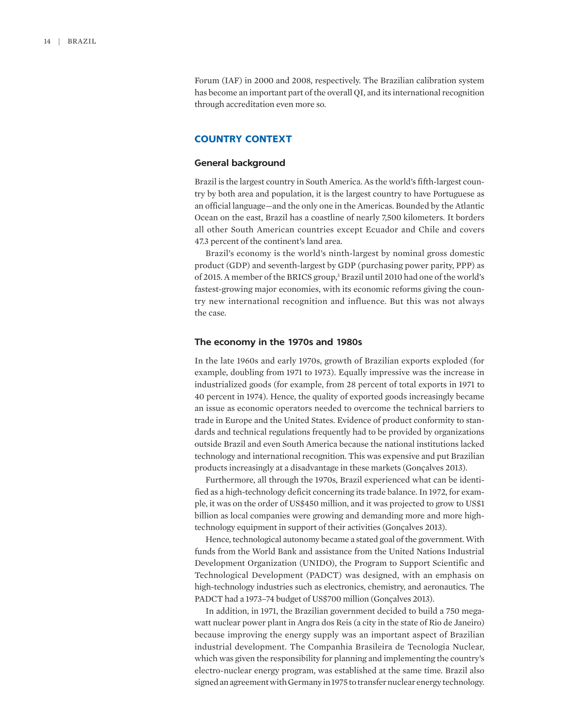Forum (IAF) in 2000 and 2008, respectively. The Brazilian calibration system has become an important part of the overall QI, and its international recognition through accreditation even more so.

## **COUNTRY CONTEXT**

#### **General background**

Brazil is the largest country in South America. As the world's fifth-largest country by both area and population, it is the largest country to have Portuguese as an official language—and the only one in the Americas. Bounded by the Atlantic Ocean on the east, Brazil has a coastline of nearly 7,500 kilometers. It borders all other South American countries except Ecuador and Chile and covers 47.3 percent of the continent's land area.

Brazil's economy is the world's ninth-largest by nominal gross domestic product (GDP) and seventh-largest by GDP (purchasing power parity, PPP) as of 2015. A member of the BRICS group,<sup>3</sup> Brazil until 2010 had one of the world's fastest-growing major economies, with its economic reforms giving the country new international recognition and influence. But this was not always the case.

#### **The economy in the 1970s and 1980s**

In the late 1960s and early 1970s, growth of Brazilian exports exploded (for example, doubling from 1971 to 1973). Equally impressive was the increase in industrialized goods (for example, from 28 percent of total exports in 1971 to 40 percent in 1974). Hence, the quality of exported goods increasingly became an issue as economic operators needed to overcome the technical barriers to trade in Europe and the United States. Evidence of product conformity to standards and technical regulations frequently had to be provided by organizations outside Brazil and even South America because the national institutions lacked technology and international recognition. This was expensive and put Brazilian products increasingly at a disadvantage in these markets (Gonçalves 2013).

Furthermore, all through the 1970s, Brazil experienced what can be identified as a high-technology deficit concerning its trade balance. In 1972, for example, it was on the order of US\$450 million, and it was projected to grow to US\$1 billion as local companies were growing and demanding more and more hightechnology equipment in support of their activities (Gonçalves 2013).

Hence, technological autonomy became a stated goal of the government. With funds from the World Bank and assistance from the United Nations Industrial Development Organization (UNIDO), the Program to Support Scientific and Technological Development (PADCT) was designed, with an emphasis on high-technology industries such as electronics, chemistry, and aeronautics. The PADCT had a 1973–74 budget of US\$700 million (Gonçalves 2013).

In addition, in 1971, the Brazilian government decided to build a 750 megawatt nuclear power plant in Angra dos Reis (a city in the state of Rio de Janeiro) because improving the energy supply was an important aspect of Brazilian industrial development. The Companhia Brasileira de Tecnologia Nuclear, which was given the responsibility for planning and implementing the country's electro-nuclear energy program, was established at the same time. Brazil also signed an agreement with Germany in 1975 to transfer nuclear energy technology.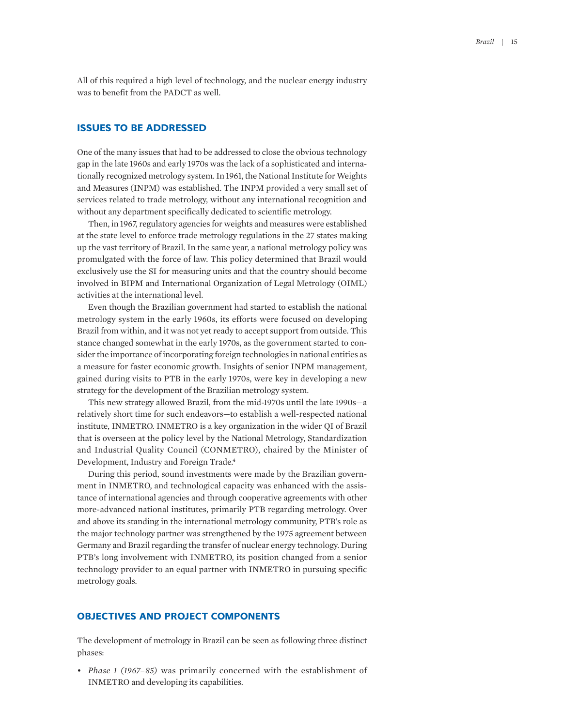All of this required a high level of technology, and the nuclear energy industry was to benefit from the PADCT as well.

## **ISSUES TO BE ADDRESSED**

One of the many issues that had to be addressed to close the obvious technology gap in the late 1960s and early 1970s was the lack of a sophisticated and internationally recognized metrology system. In 1961, the National Institute for Weights and Measures (INPM) was established. The INPM provided a very small set of services related to trade metrology, without any international recognition and without any department specifically dedicated to scientific metrology.

Then, in 1967, regulatory agencies for weights and measures were established at the state level to enforce trade metrology regulations in the 27 states making up the vast territory of Brazil. In the same year, a national metrology policy was promulgated with the force of law. This policy determined that Brazil would exclusively use the SI for measuring units and that the country should become involved in BIPM and International Organization of Legal Metrology (OIML) activities at the international level.

Even though the Brazilian government had started to establish the national metrology system in the early 1960s, its efforts were focused on developing Brazil from within, and it was not yet ready to accept support from outside. This stance changed somewhat in the early 1970s, as the government started to consider the importance of incorporating foreign technologies in national entities as a measure for faster economic growth. Insights of senior INPM management, gained during visits to PTB in the early 1970s, were key in developing a new strategy for the development of the Brazilian metrology system.

This new strategy allowed Brazil, from the mid-1970s until the late 1990s—a relatively short time for such endeavors—to establish a well-respected national institute, INMETRO. INMETRO is a key organization in the wider QI of Brazil that is overseen at the policy level by the National Metrology, Standardization and Industrial Quality Council (CONMETRO), chaired by the Minister of Development, Industry and Foreign Trade.4

During this period, sound investments were made by the Brazilian government in INMETRO, and technological capacity was enhanced with the assistance of international agencies and through cooperative agreements with other more-advanced national institutes, primarily PTB regarding metrology. Over and above its standing in the international metrology community, PTB's role as the major technology partner was strengthened by the 1975 agreement between Germany and Brazil regarding the transfer of nuclear energy technology. During PTB's long involvement with INMETRO, its position changed from a senior technology provider to an equal partner with INMETRO in pursuing specific metrology goals.

## **OBJECTIVES AND PROJECT COMPONENTS**

The development of metrology in Brazil can be seen as following three distinct phases:

• *Phase 1 (1967–85)* was primarily concerned with the establishment of INMETRO and developing its capabilities.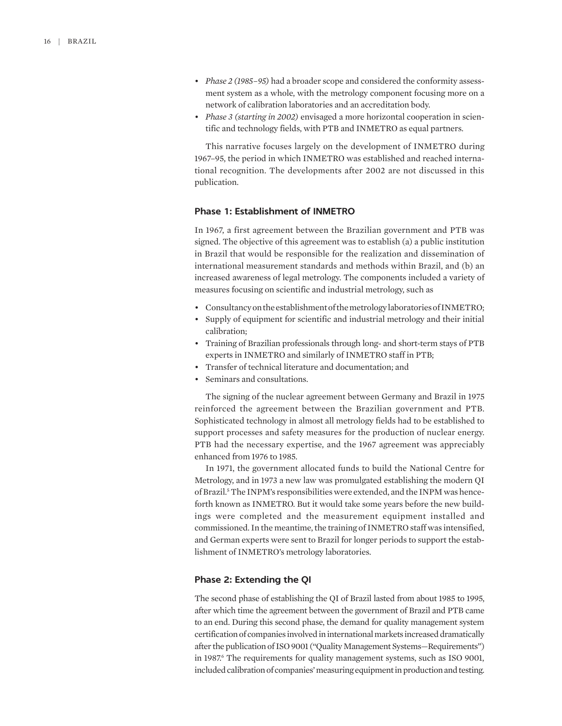- *Phase 2 (1985–95)* had a broader scope and considered the conformity assessment system as a whole, with the metrology component focusing more on a network of calibration laboratories and an accreditation body.
- *Phase 3 (starting in 2002)* envisaged a more horizontal cooperation in scientific and technology fields, with PTB and INMETRO as equal partners.

This narrative focuses largely on the development of INMETRO during 1967–95, the period in which INMETRO was established and reached international recognition. The developments after 2002 are not discussed in this publication.

## **Phase 1: Establishment of INMETRO**

In 1967, a first agreement between the Brazilian government and PTB was signed. The objective of this agreement was to establish (a) a public institution in Brazil that would be responsible for the realization and dissemination of international measurement standards and methods within Brazil, and (b) an increased awareness of legal metrology. The components included a variety of measures focusing on scientific and industrial metrology, such as

- Consultancy on the establishment of the metrology laboratories of INMETRO;
- Supply of equipment for scientific and industrial metrology and their initial calibration;
- Training of Brazilian professionals through long- and short-term stays of PTB experts in INMETRO and similarly of INMETRO staff in PTB;
- Transfer of technical literature and documentation; and
- Seminars and consultations.

The signing of the nuclear agreement between Germany and Brazil in 1975 reinforced the agreement between the Brazilian government and PTB. Sophisticated technology in almost all metrology fields had to be established to support processes and safety measures for the production of nuclear energy. PTB had the necessary expertise, and the 1967 agreement was appreciably enhanced from 1976 to 1985.

In 1971, the government allocated funds to build the National Centre for Metrology, and in 1973 a new law was promulgated establishing the modern QI of Brazil.5 The INPM's responsibilities were extended, and the INPM was henceforth known as INMETRO. But it would take some years before the new buildings were completed and the measurement equipment installed and commissioned. In the meantime, the training of INMETRO staff was intensified, and German experts were sent to Brazil for longer periods to support the establishment of INMETRO's metrology laboratories.

## **Phase 2: Extending the QI**

The second phase of establishing the QI of Brazil lasted from about 1985 to 1995, after which time the agreement between the government of Brazil and PTB came to an end. During this second phase, the demand for quality management system certification of companies involved in international markets increased dramatically after the publication of ISO 9001 ("Quality Management Systems—Requirements") in 1987.<sup>6</sup> The requirements for quality management systems, such as ISO 9001, included calibration of companies' measuring equipment in production and testing.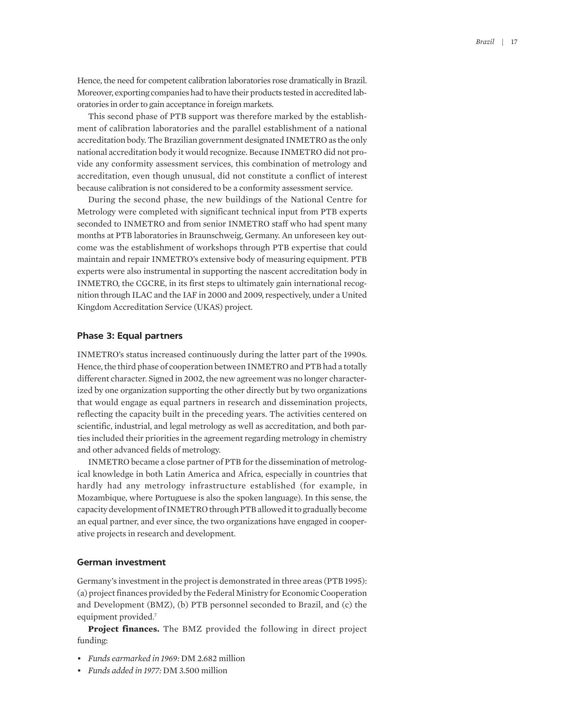Hence, the need for competent calibration laboratories rose dramatically in Brazil. Moreover, exporting companies had to have their products tested in accredited laboratories in order to gain acceptance in foreign markets.

This second phase of PTB support was therefore marked by the establishment of calibration laboratories and the parallel establishment of a national accreditation body. The Brazilian government designated INMETRO as the only national accreditation body it would recognize. Because INMETRO did not provide any conformity assessment services, this combination of metrology and accreditation, even though unusual, did not constitute a conflict of interest because calibration is not considered to be a conformity assessment service.

During the second phase, the new buildings of the National Centre for Metrology were completed with significant technical input from PTB experts seconded to INMETRO and from senior INMETRO staff who had spent many months at PTB laboratories in Braunschweig, Germany. An unforeseen key outcome was the establishment of workshops through PTB expertise that could maintain and repair INMETRO's extensive body of measuring equipment. PTB experts were also instrumental in supporting the nascent accreditation body in INMETRO, the CGCRE, in its first steps to ultimately gain international recognition through ILAC and the IAF in 2000 and 2009, respectively, under a United Kingdom Accreditation Service (UKAS) project.

## **Phase 3: Equal partners**

INMETRO's status increased continuously during the latter part of the 1990s. Hence, the third phase of cooperation between INMETRO and PTB had a totally different character. Signed in 2002, the new agreement was no longer characterized by one organization supporting the other directly but by two organizations that would engage as equal partners in research and dissemination projects, reflecting the capacity built in the preceding years. The activities centered on scientific, industrial, and legal metrology as well as accreditation, and both parties included their priorities in the agreement regarding metrology in chemistry and other advanced fields of metrology.

INMETRO became a close partner of PTB for the dissemination of metrological knowledge in both Latin America and Africa, especially in countries that hardly had any metrology infrastructure established (for example, in Mozambique, where Portuguese is also the spoken language). In this sense, the capacity development of INMETRO through PTB allowed it to gradually become an equal partner, and ever since, the two organizations have engaged in cooperative projects in research and development.

### **German investment**

Germany's investment in the project is demonstrated in three areas (PTB 1995): (a) project finances provided by the Federal Ministry for Economic Cooperation and Development (BMZ), (b) PTB personnel seconded to Brazil, and (c) the equipment provided.7

**Project finances.** The BMZ provided the following in direct project funding:

- *Funds earmarked in 1969:* DM 2.682 million
- *Funds added in 1977:* DM 3.500 million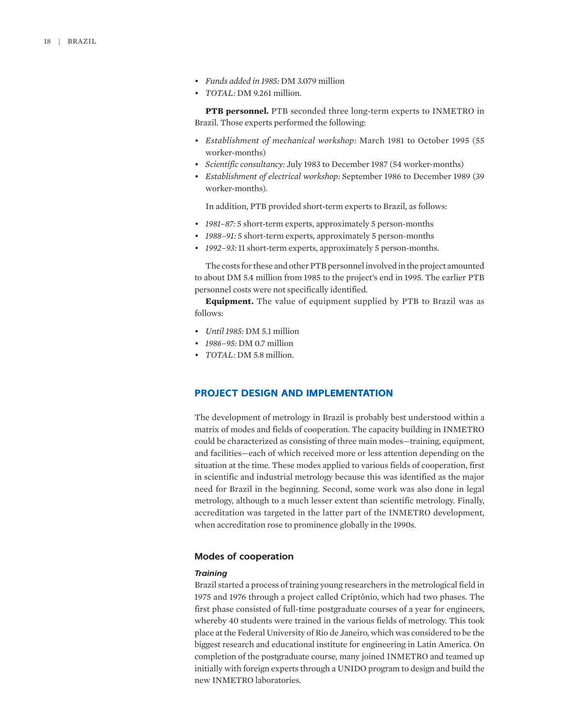- *Funds added in 1985:* DM 3.079 million
- *TOTAL:* DM 9.261 million.

**PTB personnel.** PTB seconded three long-term experts to INMETRO in Brazil. Those experts performed the following:

- *Establishment of mechanical workshop:* March 1981 to October 1995 (55 worker-months)
- *Scientific consultancy:* July 1983 to December 1987 (54 worker-months)
- *Establishment of electrical workshop:* September 1986 to December 1989 (39 worker-months).

In addition, PTB provided short-term experts to Brazil, as follows:

- *1981–87:* 5 short-term experts, approximately 5 person-months
- *1988–91:* 5 short-term experts, approximately 5 person-months
- *1992–93:* 11 short-term experts, approximately 5 person-months.

The costs for these and other PTB personnel involved in the project amounted to about DM 5.4 million from 1985 to the project's end in 1995. The earlier PTB personnel costs were not specifically identified.

**Equipment.** The value of equipment supplied by PTB to Brazil was as follows:

- *Until 1985:* DM 5.1 million
- *1986–95:* DM 0.7 million
- *TOTAL:* DM 5.8 million.

## **PROJECT DESIGN AND IMPLEMENTATION**

The development of metrology in Brazil is probably best understood within a matrix of modes and fields of cooperation. The capacity building in INMETRO could be characterized as consisting of three main modes—training, equipment, and facilities—each of which received more or less attention depending on the situation at the time. These modes applied to various fields of cooperation, first in scientific and industrial metrology because this was identified as the major need for Brazil in the beginning. Second, some work was also done in legal metrology, although to a much lesser extent than scientific metrology. Finally, accreditation was targeted in the latter part of the INMETRO development, when accreditation rose to prominence globally in the 1990s.

#### **Modes of cooperation**

#### *Training*

Brazil started a process of training young researchers in the metrological field in 1975 and 1976 through a project called Criptônio, which had two phases. The first phase consisted of full-time postgraduate courses of a year for engineers, whereby 40 students were trained in the various fields of metrology. This took place at the Federal University of Rio de Janeiro, which was considered to be the biggest research and educational institute for engineering in Latin America. On completion of the postgraduate course, many joined INMETRO and teamed up initially with foreign experts through a UNIDO program to design and build the new INMETRO laboratories.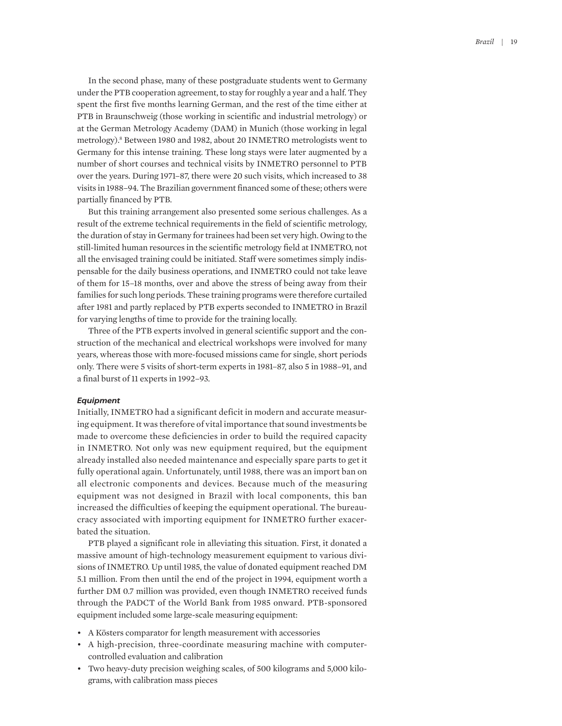In the second phase, many of these postgraduate students went to Germany under the PTB cooperation agreement, to stay for roughly a year and a half. They spent the first five months learning German, and the rest of the time either at PTB in Braunschweig (those working in scientific and industrial metrology) or at the German Metrology Academy (DAM) in Munich (those working in legal metrology).8 Between 1980 and 1982, about 20 INMETRO metrologists went to Germany for this intense training. These long stays were later augmented by a number of short courses and technical visits by INMETRO personnel to PTB over the years. During 1971–87, there were 20 such visits, which increased to 38 visits in 1988–94. The Brazilian government financed some of these; others were partially financed by PTB.

But this training arrangement also presented some serious challenges. As a result of the extreme technical requirements in the field of scientific metrology, the duration of stay in Germany for trainees had been set very high. Owing to the still-limited human resources in the scientific metrology field at INMETRO, not all the envisaged training could be initiated. Staff were sometimes simply indispensable for the daily business operations, and INMETRO could not take leave of them for 15–18 months, over and above the stress of being away from their families for such long periods. These training programs were therefore curtailed after 1981 and partly replaced by PTB experts seconded to INMETRO in Brazil for varying lengths of time to provide for the training locally.

Three of the PTB experts involved in general scientific support and the construction of the mechanical and electrical workshops were involved for many years, whereas those with more-focused missions came for single, short periods only. There were 5 visits of short-term experts in 1981–87, also 5 in 1988–91, and a final burst of 11 experts in 1992–93.

#### *Equipment*

Initially, INMETRO had a significant deficit in modern and accurate measuring equipment. It was therefore of vital importance that sound investments be made to overcome these deficiencies in order to build the required capacity in INMETRO. Not only was new equipment required, but the equipment already installed also needed maintenance and especially spare parts to get it fully operational again. Unfortunately, until 1988, there was an import ban on all electronic components and devices. Because much of the measuring equipment was not designed in Brazil with local components, this ban increased the difficulties of keeping the equipment operational. The bureaucracy associated with importing equipment for INMETRO further exacerbated the situation.

PTB played a significant role in alleviating this situation. First, it donated a massive amount of high-technology measurement equipment to various divisions of INMETRO. Up until 1985, the value of donated equipment reached DM 5.1 million. From then until the end of the project in 1994, equipment worth a further DM 0.7 million was provided, even though INMETRO received funds through the PADCT of the World Bank from 1985 onward. PTB-sponsored equipment included some large-scale measuring equipment:

- A Kösters comparator for length measurement with accessories
- A high-precision, three-coordinate measuring machine with computercontrolled evaluation and calibration
- Two heavy-duty precision weighing scales, of 500 kilograms and 5,000 kilograms, with calibration mass pieces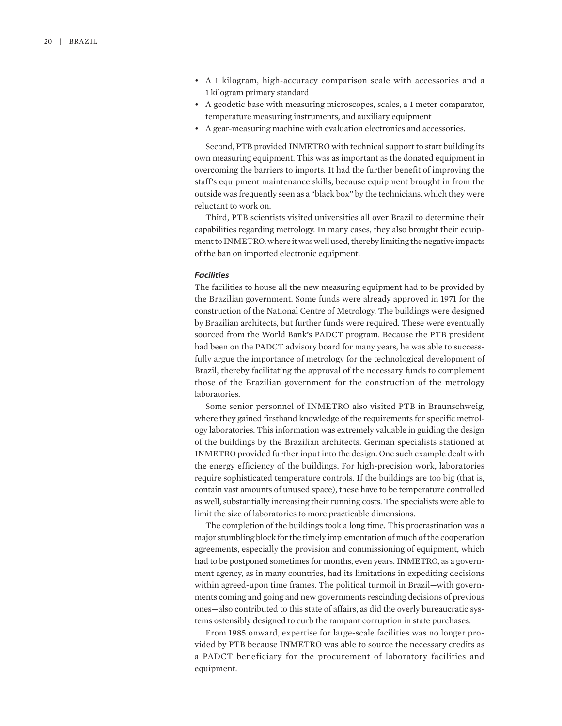- A 1 kilogram, high-accuracy comparison scale with accessories and a 1 kilogram primary standard
- A geodetic base with measuring microscopes, scales, a 1 meter comparator, temperature measuring instruments, and auxiliary equipment
- A gear-measuring machine with evaluation electronics and accessories.

Second, PTB provided INMETRO with technical support to start building its own measuring equipment. This was as important as the donated equipment in overcoming the barriers to imports. It had the further benefit of improving the staff's equipment maintenance skills, because equipment brought in from the outside was frequently seen as a "black box" by the technicians, which they were reluctant to work on.

Third, PTB scientists visited universities all over Brazil to determine their capabilities regarding metrology. In many cases, they also brought their equipment to INMETRO, where it was well used, thereby limiting the negative impacts of the ban on imported electronic equipment.

#### *Facilities*

The facilities to house all the new measuring equipment had to be provided by the Brazilian government. Some funds were already approved in 1971 for the construction of the National Centre of Metrology. The buildings were designed by Brazilian architects, but further funds were required. These were eventually sourced from the World Bank's PADCT program. Because the PTB president had been on the PADCT advisory board for many years, he was able to successfully argue the importance of metrology for the technological development of Brazil, thereby facilitating the approval of the necessary funds to complement those of the Brazilian government for the construction of the metrology laboratories.

Some senior personnel of INMETRO also visited PTB in Braunschweig, where they gained firsthand knowledge of the requirements for specific metrology laboratories. This information was extremely valuable in guiding the design of the buildings by the Brazilian architects. German specialists stationed at INMETRO provided further input into the design. One such example dealt with the energy efficiency of the buildings. For high-precision work, laboratories require sophisticated temperature controls. If the buildings are too big (that is, contain vast amounts of unused space), these have to be temperature controlled as well, substantially increasing their running costs. The specialists were able to limit the size of laboratories to more practicable dimensions.

The completion of the buildings took a long time. This procrastination was a major stumbling block for the timely implementation of much of the cooperation agreements, especially the provision and commissioning of equipment, which had to be postponed sometimes for months, even years. INMETRO, as a government agency, as in many countries, had its limitations in expediting decisions within agreed-upon time frames. The political turmoil in Brazil—with governments coming and going and new governments rescinding decisions of previous ones—also contributed to this state of affairs, as did the overly bureaucratic systems ostensibly designed to curb the rampant corruption in state purchases.

From 1985 onward, expertise for large-scale facilities was no longer provided by PTB because INMETRO was able to source the necessary credits as a PADCT beneficiary for the procurement of laboratory facilities and equipment.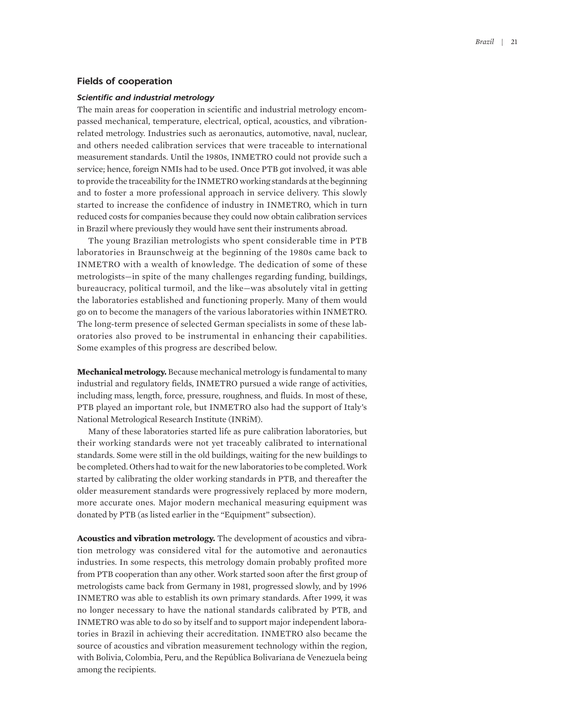#### **Fields of cooperation**

#### *Scientific and industrial metrology*

The main areas for cooperation in scientific and industrial metrology encompassed mechanical, temperature, electrical, optical, acoustics, and vibrationrelated metrology. Industries such as aeronautics, automotive, naval, nuclear, and others needed calibration services that were traceable to international measurement standards. Until the 1980s, INMETRO could not provide such a service; hence, foreign NMIs had to be used. Once PTB got involved, it was able to provide the traceability for the INMETRO working standards at the beginning and to foster a more professional approach in service delivery. This slowly started to increase the confidence of industry in INMETRO, which in turn reduced costs for companies because they could now obtain calibration services in Brazil where previously they would have sent their instruments abroad.

The young Brazilian metrologists who spent considerable time in PTB laboratories in Braunschweig at the beginning of the 1980s came back to INMETRO with a wealth of knowledge. The dedication of some of these metrologists—in spite of the many challenges regarding funding, buildings, bureaucracy, political turmoil, and the like—was absolutely vital in getting the laboratories established and functioning properly. Many of them would go on to become the managers of the various laboratories within INMETRO. The long-term presence of selected German specialists in some of these laboratories also proved to be instrumental in enhancing their capabilities. Some examples of this progress are described below.

**Mechanical metrology.** Because mechanical metrology is fundamental to many industrial and regulatory fields, INMETRO pursued a wide range of activities, including mass, length, force, pressure, roughness, and fluids. In most of these, PTB played an important role, but INMETRO also had the support of Italy's National Metrological Research Institute (INRiM).

Many of these laboratories started life as pure calibration laboratories, but their working standards were not yet traceably calibrated to international standards. Some were still in the old buildings, waiting for the new buildings to be completed. Others had to wait for the new laboratories to be completed. Work started by calibrating the older working standards in PTB, and thereafter the older measurement standards were progressively replaced by more modern, more accurate ones. Major modern mechanical measuring equipment was donated by PTB (as listed earlier in the "Equipment" subsection).

**Acoustics and vibration metrology.** The development of acoustics and vibration metrology was considered vital for the automotive and aeronautics industries. In some respects, this metrology domain probably profited more from PTB cooperation than any other. Work started soon after the first group of metrologists came back from Germany in 1981, progressed slowly, and by 1996 INMETRO was able to establish its own primary standards. After 1999, it was no longer necessary to have the national standards calibrated by PTB, and INMETRO was able to do so by itself and to support major independent laboratories in Brazil in achieving their accreditation. INMETRO also became the source of acoustics and vibration measurement technology within the region, with Bolivia, Colombia, Peru, and the República Bolivariana de Venezuela being among the recipients.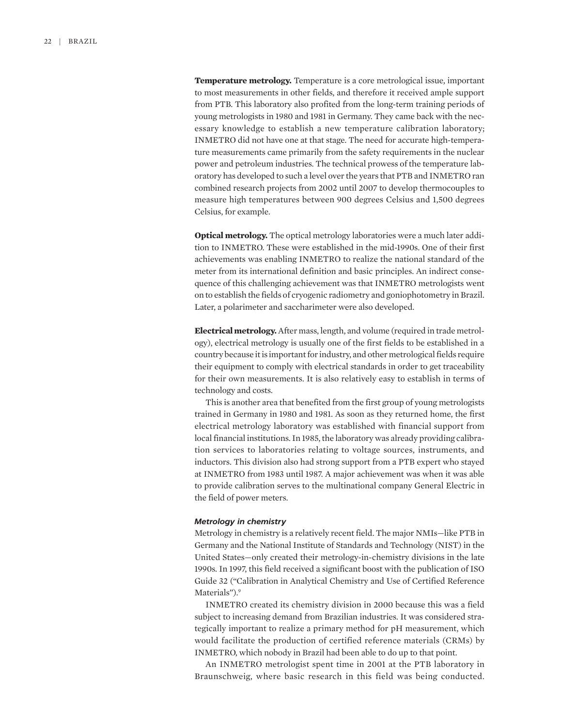**Temperature metrology.** Temperature is a core metrological issue, important to most measurements in other fields, and therefore it received ample support from PTB. This laboratory also profited from the long-term training periods of young metrologists in 1980 and 1981 in Germany. They came back with the necessary knowledge to establish a new temperature calibration laboratory; INMETRO did not have one at that stage. The need for accurate high-temperature measurements came primarily from the safety requirements in the nuclear power and petroleum industries. The technical prowess of the temperature laboratory has developed to such a level over the years that PTB and INMETRO ran combined research projects from 2002 until 2007 to develop thermocouples to measure high temperatures between 900 degrees Celsius and 1,500 degrees Celsius, for example.

**Optical metrology.** The optical metrology laboratories were a much later addition to INMETRO. These were established in the mid-1990s. One of their first achievements was enabling INMETRO to realize the national standard of the meter from its international definition and basic principles. An indirect consequence of this challenging achievement was that INMETRO metrologists went on to establish the fields of cryogenic radiometry and goniophotometry in Brazil. Later, a polarimeter and saccharimeter were also developed.

**Electrical metrology.** After mass, length, and volume (required in trade metrology), electrical metrology is usually one of the first fields to be established in a country because it is important for industry, and other metrological fields require their equipment to comply with electrical standards in order to get traceability for their own measurements. It is also relatively easy to establish in terms of technology and costs.

This is another area that benefited from the first group of young metrologists trained in Germany in 1980 and 1981. As soon as they returned home, the first electrical metrology laboratory was established with financial support from local financial institutions. In 1985, the laboratory was already providing calibration services to laboratories relating to voltage sources, instruments, and inductors. This division also had strong support from a PTB expert who stayed at INMETRO from 1983 until 1987. A major achievement was when it was able to provide calibration serves to the multinational company General Electric in the field of power meters.

#### *Metrology in chemistry*

Metrology in chemistry is a relatively recent field. The major NMIs—like PTB in Germany and the National Institute of Standards and Technology (NIST) in the United States—only created their metrology-in-chemistry divisions in the late 1990s. In 1997, this field received a significant boost with the publication of ISO Guide 32 ("Calibration in Analytical Chemistry and Use of Certified Reference Materials").<sup>9</sup>

INMETRO created its chemistry division in 2000 because this was a field subject to increasing demand from Brazilian industries. It was considered strategically important to realize a primary method for pH measurement, which would facilitate the production of certified reference materials (CRMs) by INMETRO, which nobody in Brazil had been able to do up to that point.

An INMETRO metrologist spent time in 2001 at the PTB laboratory in Braunschweig, where basic research in this field was being conducted.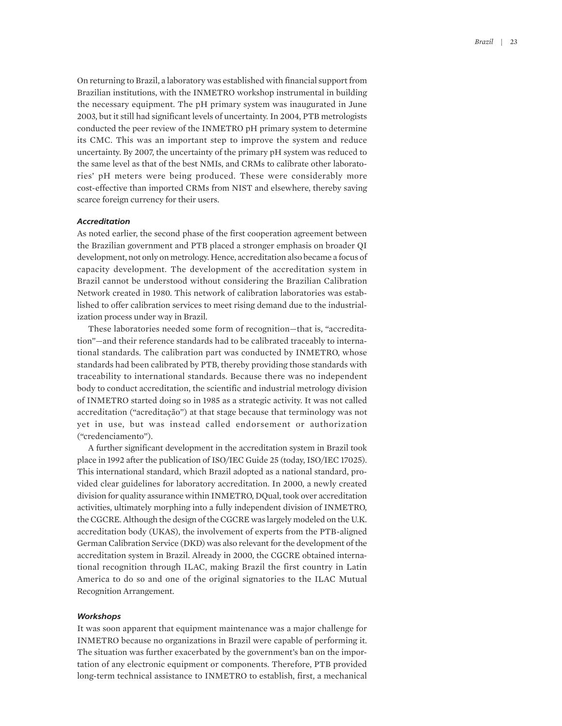On returning to Brazil, a laboratory was established with financial support from Brazilian institutions, with the INMETRO workshop instrumental in building the necessary equipment. The pH primary system was inaugurated in June 2003, but it still had significant levels of uncertainty. In 2004, PTB metrologists conducted the peer review of the INMETRO pH primary system to determine its CMC. This was an important step to improve the system and reduce uncertainty. By 2007, the uncertainty of the primary pH system was reduced to the same level as that of the best NMIs, and CRMs to calibrate other laboratories' pH meters were being produced. These were considerably more cost-effective than imported CRMs from NIST and elsewhere, thereby saving scarce foreign currency for their users.

### *Accreditation*

As noted earlier, the second phase of the first cooperation agreement between the Brazilian government and PTB placed a stronger emphasis on broader QI development, not only on metrology. Hence, accreditation also became a focus of capacity development. The development of the accreditation system in Brazil cannot be understood without considering the Brazilian Calibration Network created in 1980. This network of calibration laboratories was established to offer calibration services to meet rising demand due to the industrialization process under way in Brazil.

These laboratories needed some form of recognition—that is, "accreditation"—and their reference standards had to be calibrated traceably to international standards. The calibration part was conducted by INMETRO, whose standards had been calibrated by PTB, thereby providing those standards with traceability to international standards. Because there was no independent body to conduct accreditation, the scientific and industrial metrology division of INMETRO started doing so in 1985 as a strategic activity. It was not called accreditation ("acreditação") at that stage because that terminology was not yet in use, but was instead called endorsement or authorization ("credenciamento").

A further significant development in the accreditation system in Brazil took place in 1992 after the publication of ISO/IEC Guide 25 (today, ISO/IEC 17025). This international standard, which Brazil adopted as a national standard, provided clear guidelines for laboratory accreditation. In 2000, a newly created division for quality assurance within INMETRO, DQual, took over accreditation activities, ultimately morphing into a fully independent division of INMETRO, the CGCRE. Although the design of the CGCRE was largely modeled on the U.K. accreditation body (UKAS), the involvement of experts from the PTB-aligned German Calibration Service (DKD) was also relevant for the development of the accreditation system in Brazil. Already in 2000, the CGCRE obtained international recognition through ILAC, making Brazil the first country in Latin America to do so and one of the original signatories to the ILAC Mutual Recognition Arrangement.

#### *Workshops*

It was soon apparent that equipment maintenance was a major challenge for INMETRO because no organizations in Brazil were capable of performing it. The situation was further exacerbated by the government's ban on the importation of any electronic equipment or components. Therefore, PTB provided long-term technical assistance to INMETRO to establish, first, a mechanical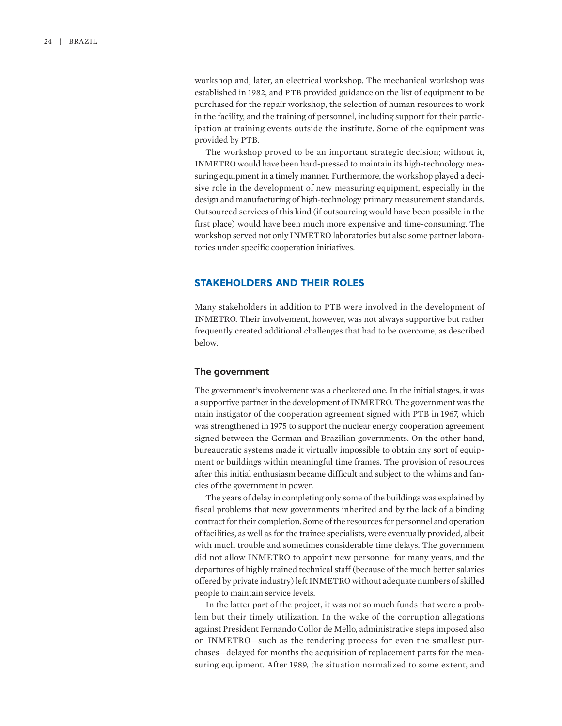workshop and, later, an electrical workshop. The mechanical workshop was established in 1982, and PTB provided guidance on the list of equipment to be purchased for the repair workshop, the selection of human resources to work in the facility, and the training of personnel, including support for their participation at training events outside the institute. Some of the equipment was provided by PTB.

The workshop proved to be an important strategic decision; without it, INMETRO would have been hard-pressed to maintain its high-technology measuring equipment in a timely manner. Furthermore, the workshop played a decisive role in the development of new measuring equipment, especially in the design and manufacturing of high-technology primary measurement standards. Outsourced services of this kind (if outsourcing would have been possible in the first place) would have been much more expensive and time-consuming. The workshop served not only INMETRO laboratories but also some partner laboratories under specific cooperation initiatives.

## **STAKEHOLDERS AND THEIR ROLES**

Many stakeholders in addition to PTB were involved in the development of INMETRO. Their involvement, however, was not always supportive but rather frequently created additional challenges that had to be overcome, as described below.

#### **The government**

The government's involvement was a checkered one. In the initial stages, it was a supportive partner in the development of INMETRO. The government was the main instigator of the cooperation agreement signed with PTB in 1967, which was strengthened in 1975 to support the nuclear energy cooperation agreement signed between the German and Brazilian governments. On the other hand, bureaucratic systems made it virtually impossible to obtain any sort of equipment or buildings within meaningful time frames. The provision of resources after this initial enthusiasm became difficult and subject to the whims and fancies of the government in power.

The years of delay in completing only some of the buildings was explained by fiscal problems that new governments inherited and by the lack of a binding contract for their completion. Some of the resources for personnel and operation of facilities, as well as for the trainee specialists, were eventually provided, albeit with much trouble and sometimes considerable time delays. The government did not allow INMETRO to appoint new personnel for many years, and the departures of highly trained technical staff (because of the much better salaries offered by private industry) left INMETRO without adequate numbers of skilled people to maintain service levels.

In the latter part of the project, it was not so much funds that were a problem but their timely utilization. In the wake of the corruption allegations against President Fernando Collor de Mello, administrative steps imposed also on INMETRO—such as the tendering process for even the smallest purchases—delayed for months the acquisition of replacement parts for the measuring equipment. After 1989, the situation normalized to some extent, and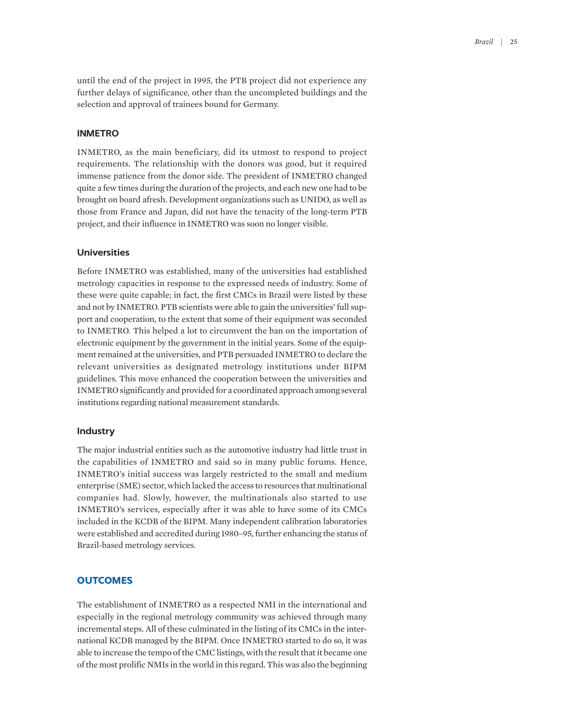until the end of the project in 1995, the PTB project did not experience any further delays of significance, other than the uncompleted buildings and the selection and approval of trainees bound for Germany.

## **INMETRO**

INMETRO, as the main beneficiary, did its utmost to respond to project requirements. The relationship with the donors was good, but it required immense patience from the donor side. The president of INMETRO changed quite a few times during the duration of the projects, and each new one had to be brought on board afresh. Development organizations such as UNIDO, as well as those from France and Japan, did not have the tenacity of the long-term PTB project, and their influence in INMETRO was soon no longer visible.

## **Universities**

Before INMETRO was established, many of the universities had established metrology capacities in response to the expressed needs of industry. Some of these were quite capable; in fact, the first CMCs in Brazil were listed by these and not by INMETRO. PTB scientists were able to gain the universities' full support and cooperation, to the extent that some of their equipment was seconded to INMETRO. This helped a lot to circumvent the ban on the importation of electronic equipment by the government in the initial years. Some of the equipment remained at the universities, and PTB persuaded INMETRO to declare the relevant universities as designated metrology institutions under BIPM guidelines. This move enhanced the cooperation between the universities and INMETRO significantly and provided for a coordinated approach among several institutions regarding national measurement standards.

#### **Industry**

The major industrial entities such as the automotive industry had little trust in the capabilities of INMETRO and said so in many public forums. Hence, INMETRO's initial success was largely restricted to the small and medium enterprise (SME) sector, which lacked the access to resources that multinational companies had. Slowly, however, the multinationals also started to use INMETRO's services, especially after it was able to have some of its CMCs included in the KCDB of the BIPM. Many independent calibration laboratories were established and accredited during 1980–95, further enhancing the status of Brazil-based metrology services.

## **OUTCOMES**

The establishment of INMETRO as a respected NMI in the international and especially in the regional metrology community was achieved through many incremental steps. All of these culminated in the listing of its CMCs in the international KCDB managed by the BIPM. Once INMETRO started to do so, it was able to increase the tempo of the CMC listings, with the result that it became one of the most prolific NMIs in the world in this regard. This was also the beginning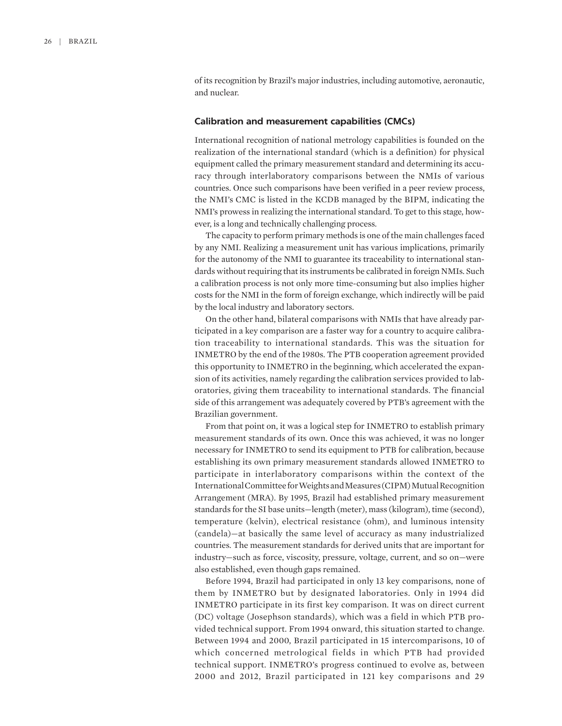of its recognition by Brazil's major industries, including automotive, aeronautic, and nuclear.

#### **Calibration and measurement capabilities (CMCs)**

International recognition of national metrology capabilities is founded on the realization of the international standard (which is a definition) for physical equipment called the primary measurement standard and determining its accuracy through interlaboratory comparisons between the NMIs of various countries. Once such comparisons have been verified in a peer review process, the NMI's CMC is listed in the KCDB managed by the BIPM, indicating the NMI's prowess in realizing the international standard. To get to this stage, however, is a long and technically challenging process.

The capacity to perform primary methods is one of the main challenges faced by any NMI. Realizing a measurement unit has various implications, primarily for the autonomy of the NMI to guarantee its traceability to international standards without requiring that its instruments be calibrated in foreign NMIs. Such a calibration process is not only more time-consuming but also implies higher costs for the NMI in the form of foreign exchange, which indirectly will be paid by the local industry and laboratory sectors.

On the other hand, bilateral comparisons with NMIs that have already participated in a key comparison are a faster way for a country to acquire calibration traceability to international standards. This was the situation for INMETRO by the end of the 1980s. The PTB cooperation agreement provided this opportunity to INMETRO in the beginning, which accelerated the expansion of its activities, namely regarding the calibration services provided to laboratories, giving them traceability to international standards. The financial side of this arrangement was adequately covered by PTB's agreement with the Brazilian government.

From that point on, it was a logical step for INMETRO to establish primary measurement standards of its own. Once this was achieved, it was no longer necessary for INMETRO to send its equipment to PTB for calibration, because establishing its own primary measurement standards allowed INMETRO to participate in interlaboratory comparisons within the context of the International Committee for Weights and Measures (CIPM) Mutual Recognition Arrangement (MRA). By 1995, Brazil had established primary measurement standards for the SI base units—length (meter), mass (kilogram), time (second), temperature (kelvin), electrical resistance (ohm), and luminous intensity (candela)—at basically the same level of accuracy as many industrialized countries. The measurement standards for derived units that are important for industry—such as force, viscosity, pressure, voltage, current, and so on—were also established, even though gaps remained.

Before 1994, Brazil had participated in only 13 key comparisons, none of them by INMETRO but by designated laboratories. Only in 1994 did INMETRO participate in its first key comparison. It was on direct current (DC) voltage (Josephson standards), which was a field in which PTB provided technical support. From 1994 onward, this situation started to change. Between 1994 and 2000, Brazil participated in 15 intercomparisons, 10 of which concerned metrological fields in which PTB had provided technical support. INMETRO's progress continued to evolve as, between 2000 and 2012, Brazil participated in 121 key comparisons and 29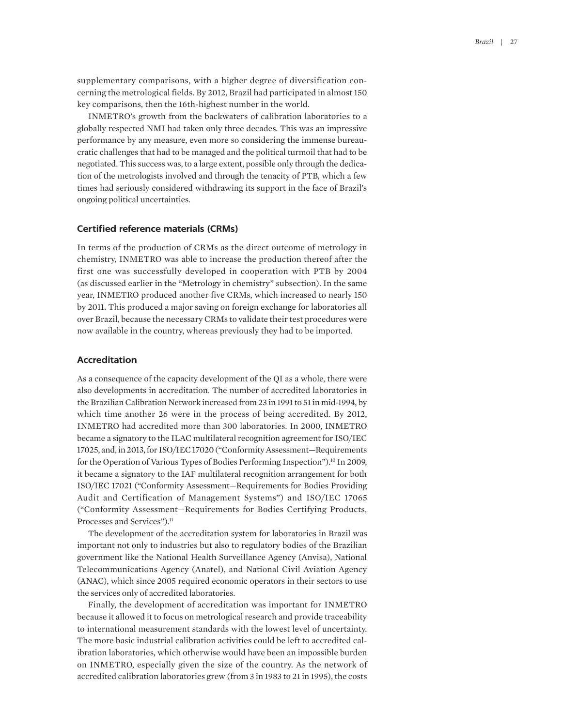supplementary comparisons, with a higher degree of diversification concerning the metrological fields. By 2012, Brazil had participated in almost 150 key comparisons, then the 16th-highest number in the world.

INMETRO's growth from the backwaters of calibration laboratories to a globally respected NMI had taken only three decades. This was an impressive performance by any measure, even more so considering the immense bureaucratic challenges that had to be managed and the political turmoil that had to be negotiated. This success was, to a large extent, possible only through the dedication of the metrologists involved and through the tenacity of PTB, which a few times had seriously considered withdrawing its support in the face of Brazil's ongoing political uncertainties.

#### **Certified reference materials (CRMs)**

In terms of the production of CRMs as the direct outcome of metrology in chemistry, INMETRO was able to increase the production thereof after the first one was successfully developed in cooperation with PTB by 2004 (as discussed earlier in the "Metrology in chemistry" subsection). In the same year, INMETRO produced another five CRMs, which increased to nearly 150 by 2011. This produced a major saving on foreign exchange for laboratories all over Brazil, because the necessary CRMs to validate their test procedures were now available in the country, whereas previously they had to be imported.

#### **Accreditation**

As a consequence of the capacity development of the QI as a whole, there were also developments in accreditation. The number of accredited laboratories in the Brazilian Calibration Network increased from 23 in 1991 to 51 in mid-1994, by which time another 26 were in the process of being accredited. By 2012, INMETRO had accredited more than 300 laboratories. In 2000, INMETRO became a signatory to the ILAC multilateral recognition agreement for ISO/IEC 17025, and, in 2013, for ISO/IEC 17020 ("Conformity Assessment—Requirements for the Operation of Various Types of Bodies Performing Inspection").<sup>10</sup> In 2009, it became a signatory to the IAF multilateral recognition arrangement for both ISO/IEC 17021 ("Conformity Assessment—Requirements for Bodies Providing Audit and Certification of Management Systems") and ISO/IEC 17065 ("Conformity Assessment—Requirements for Bodies Certifying Products, Processes and Services").<sup>11</sup>

The development of the accreditation system for laboratories in Brazil was important not only to industries but also to regulatory bodies of the Brazilian government like the National Health Surveillance Agency (Anvisa), National Telecommunications Agency (Anatel), and National Civil Aviation Agency (ANAC), which since 2005 required economic operators in their sectors to use the services only of accredited laboratories.

Finally, the development of accreditation was important for INMETRO because it allowed it to focus on metrological research and provide traceability to international measurement standards with the lowest level of uncertainty. The more basic industrial calibration activities could be left to accredited calibration laboratories, which otherwise would have been an impossible burden on INMETRO, especially given the size of the country. As the network of accredited calibration laboratories grew (from 3 in 1983 to 21 in 1995), the costs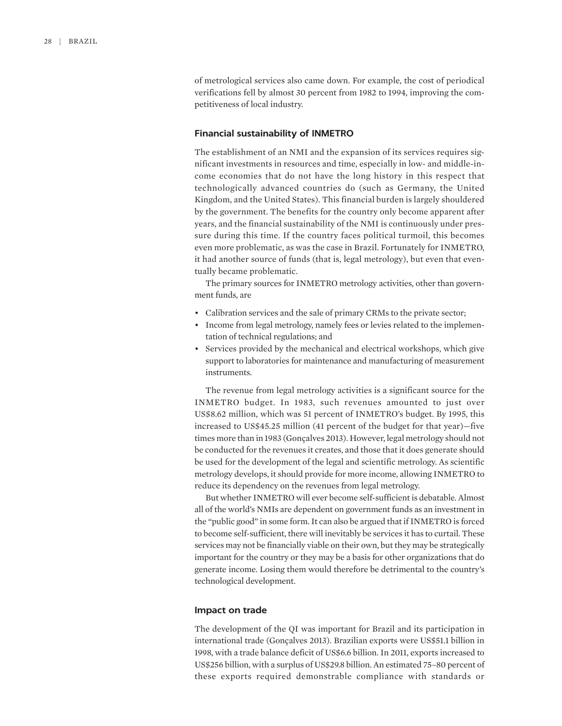of metrological services also came down. For example, the cost of periodical verifications fell by almost 30 percent from 1982 to 1994, improving the competitiveness of local industry.

#### **Financial sustainability of INMETRO**

The establishment of an NMI and the expansion of its services requires significant investments in resources and time, especially in low- and middle-income economies that do not have the long history in this respect that technologically advanced countries do (such as Germany, the United Kingdom, and the United States). This financial burden is largely shouldered by the government. The benefits for the country only become apparent after years, and the financial sustainability of the NMI is continuously under pressure during this time. If the country faces political turmoil, this becomes even more problematic, as was the case in Brazil. Fortunately for INMETRO, it had another source of funds (that is, legal metrology), but even that eventually became problematic.

The primary sources for INMETRO metrology activities, other than government funds, are

- Calibration services and the sale of primary CRMs to the private sector;
- Income from legal metrology, namely fees or levies related to the implementation of technical regulations; and
- Services provided by the mechanical and electrical workshops, which give support to laboratories for maintenance and manufacturing of measurement instruments.

The revenue from legal metrology activities is a significant source for the INMETRO budget. In 1983, such revenues amounted to just over US\$8.62 million, which was 51 percent of INMETRO's budget. By 1995, this increased to US\$45.25 million (41 percent of the budget for that year)—five times more than in 1983 (Gonçalves 2013). However, legal metrology should not be conducted for the revenues it creates, and those that it does generate should be used for the development of the legal and scientific metrology. As scientific metrology develops, it should provide for more income, allowing INMETRO to reduce its dependency on the revenues from legal metrology.

But whether INMETRO will ever become self-sufficient is debatable. Almost all of the world's NMIs are dependent on government funds as an investment in the "public good" in some form. It can also be argued that if INMETRO is forced to become self-sufficient, there will inevitably be services it has to curtail. These services may not be financially viable on their own, but they may be strategically important for the country or they may be a basis for other organizations that do generate income. Losing them would therefore be detrimental to the country's technological development.

#### **Impact on trade**

The development of the QI was important for Brazil and its participation in international trade (Gonçalves 2013). Brazilian exports were US\$51.1 billion in 1998, with a trade balance deficit of US\$6.6 billion. In 2011, exports increased to US\$256 billion, with a surplus of US\$29.8 billion. An estimated 75–80 percent of these exports required demonstrable compliance with standards or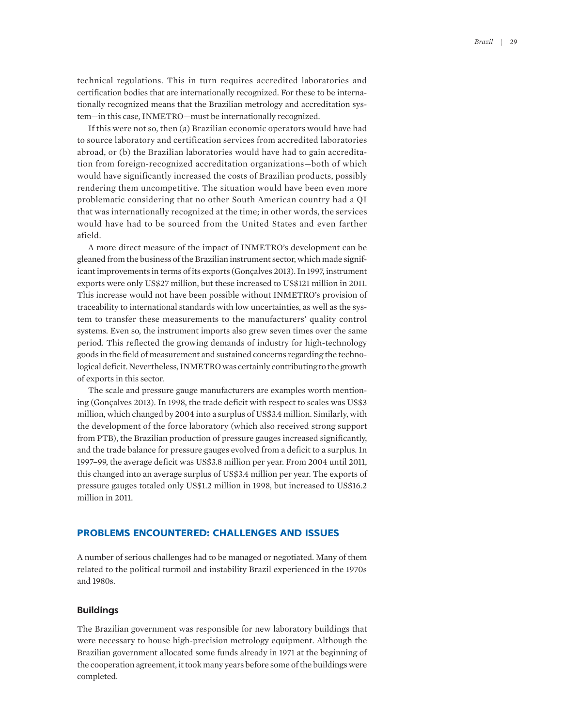technical regulations. This in turn requires accredited laboratories and certification bodies that are internationally recognized. For these to be internationally recognized means that the Brazilian metrology and accreditation system—in this case, INMETRO—must be internationally recognized.

If this were not so, then (a) Brazilian economic operators would have had to source laboratory and certification services from accredited laboratories abroad, or (b) the Brazilian laboratories would have had to gain accreditation from foreign-recognized accreditation organizations—both of which would have significantly increased the costs of Brazilian products, possibly rendering them uncompetitive. The situation would have been even more problematic considering that no other South American country had a QI that was internationally recognized at the time; in other words, the services would have had to be sourced from the United States and even farther afield.

A more direct measure of the impact of INMETRO's development can be gleaned from the business of the Brazilian instrument sector, which made significant improvements in terms of its exports (Gonçalves 2013). In 1997, instrument exports were only US\$27 million, but these increased to US\$121 million in 2011. This increase would not have been possible without INMETRO's provision of traceability to international standards with low uncertainties, as well as the system to transfer these measurements to the manufacturers' quality control systems. Even so, the instrument imports also grew seven times over the same period. This reflected the growing demands of industry for high-technology goods in the field of measurement and sustained concerns regarding the technological deficit. Nevertheless, INMETRO was certainly contributing to the growth of exports in this sector.

The scale and pressure gauge manufacturers are examples worth mentioning (Gonçalves 2013). In 1998, the trade deficit with respect to scales was US\$3 million, which changed by 2004 into a surplus of US\$3.4 million. Similarly, with the development of the force laboratory (which also received strong support from PTB), the Brazilian production of pressure gauges increased significantly, and the trade balance for pressure gauges evolved from a deficit to a surplus. In 1997–99, the average deficit was US\$3.8 million per year. From 2004 until 2011, this changed into an average surplus of US\$3.4 million per year. The exports of pressure gauges totaled only US\$1.2 million in 1998, but increased to US\$16.2 million in 2011.

## **PROBLEMS ENCOUNTERED: CHALLENGES AND ISSUES**

A number of serious challenges had to be managed or negotiated. Many of them related to the political turmoil and instability Brazil experienced in the 1970s and 1980s.

#### **Buildings**

The Brazilian government was responsible for new laboratory buildings that were necessary to house high-precision metrology equipment. Although the Brazilian government allocated some funds already in 1971 at the beginning of the cooperation agreement, it took many years before some of the buildings were completed.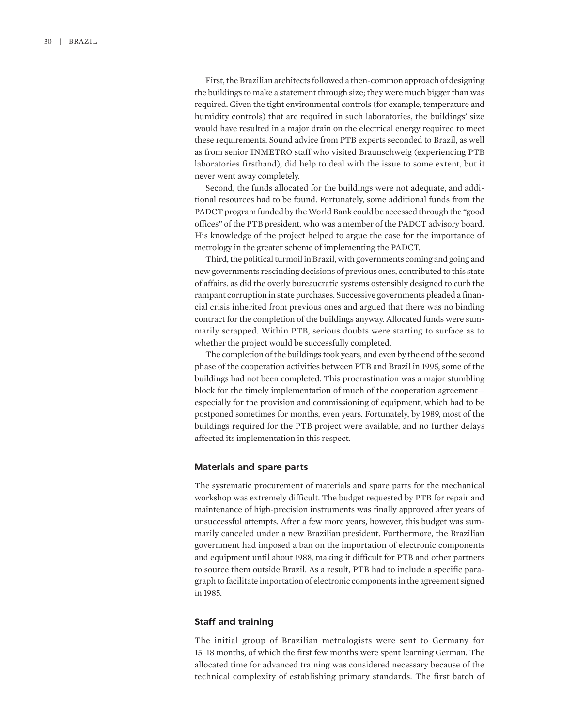First, the Brazilian architects followed a then-common approach of designing the buildings to make a statement through size; they were much bigger than was required. Given the tight environmental controls (for example, temperature and humidity controls) that are required in such laboratories, the buildings' size would have resulted in a major drain on the electrical energy required to meet these requirements. Sound advice from PTB experts seconded to Brazil, as well as from senior INMETRO staff who visited Braunschweig (experiencing PTB laboratories firsthand), did help to deal with the issue to some extent, but it never went away completely.

Second, the funds allocated for the buildings were not adequate, and additional resources had to be found. Fortunately, some additional funds from the PADCT program funded by the World Bank could be accessed through the "good offices" of the PTB president, who was a member of the PADCT advisory board. His knowledge of the project helped to argue the case for the importance of metrology in the greater scheme of implementing the PADCT.

Third, the political turmoil in Brazil, with governments coming and going and new governments rescinding decisions of previous ones, contributed to this state of affairs, as did the overly bureaucratic systems ostensibly designed to curb the rampant corruption in state purchases. Successive governments pleaded a financial crisis inherited from previous ones and argued that there was no binding contract for the completion of the buildings anyway. Allocated funds were summarily scrapped. Within PTB, serious doubts were starting to surface as to whether the project would be successfully completed.

The completion of the buildings took years, and even by the end of the second phase of the cooperation activities between PTB and Brazil in 1995, some of the buildings had not been completed. This procrastination was a major stumbling block for the timely implementation of much of the cooperation agreement especially for the provision and commissioning of equipment, which had to be postponed sometimes for months, even years. Fortunately, by 1989, most of the buildings required for the PTB project were available, and no further delays affected its implementation in this respect.

## **Materials and spare parts**

The systematic procurement of materials and spare parts for the mechanical workshop was extremely difficult. The budget requested by PTB for repair and maintenance of high-precision instruments was finally approved after years of unsuccessful attempts. After a few more years, however, this budget was summarily canceled under a new Brazilian president. Furthermore, the Brazilian government had imposed a ban on the importation of electronic components and equipment until about 1988, making it difficult for PTB and other partners to source them outside Brazil. As a result, PTB had to include a specific paragraph to facilitate importation of electronic components in the agreement signed in 1985.

### **Staff and training**

The initial group of Brazilian metrologists were sent to Germany for 15–18 months, of which the first few months were spent learning German. The allocated time for advanced training was considered necessary because of the technical complexity of establishing primary standards. The first batch of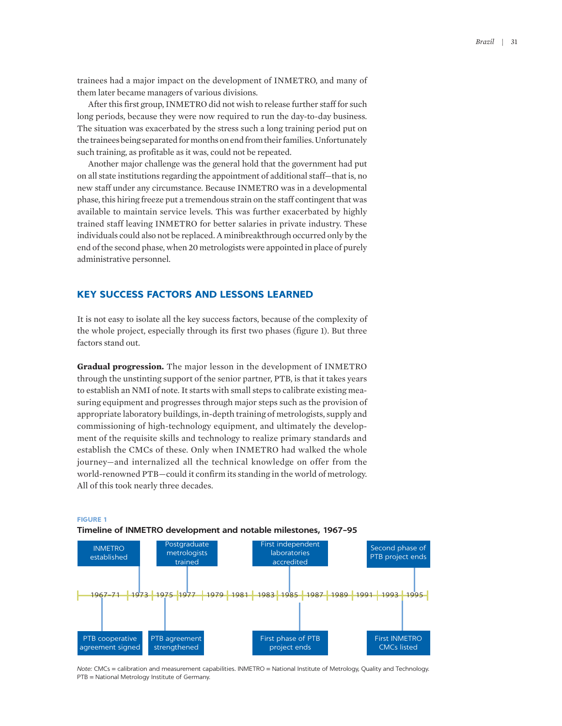trainees had a major impact on the development of INMETRO, and many of them later became managers of various divisions.

After this first group, INMETRO did not wish to release further staff for such long periods, because they were now required to run the day-to-day business. The situation was exacerbated by the stress such a long training period put on the trainees being separated for months on end from their families. Unfortunately such training, as profitable as it was, could not be repeated.

Another major challenge was the general hold that the government had put on all state institutions regarding the appointment of additional staff—that is, no new staff under any circumstance. Because INMETRO was in a developmental phase, this hiring freeze put a tremendous strain on the staff contingent that was available to maintain service levels. This was further exacerbated by highly trained staff leaving INMETRO for better salaries in private industry. These individuals could also not be replaced. A minibreakthrough occurred only by the end of the second phase, when 20 metrologists were appointed in place of purely administrative personnel.

### **KEY SUCCESS FACTORS AND LESSONS LEARNED**

It is not easy to isolate all the key success factors, because of the complexity of the whole project, especially through its first two phases (figure 1). But three factors stand out.

**Gradual progression.** The major lesson in the development of INMETRO through the unstinting support of the senior partner, PTB, is that it takes years to establish an NMI of note. It starts with small steps to calibrate existing measuring equipment and progresses through major steps such as the provision of appropriate laboratory buildings, in-depth training of metrologists, supply and commissioning of high-technology equipment, and ultimately the development of the requisite skills and technology to realize primary standards and establish the CMCs of these. Only when INMETRO had walked the whole journey—and internalized all the technical knowledge on offer from the world-renowned PTB—could it confirm its standing in the world of metrology. All of this took nearly three decades.



#### **FIGURE 1**

**Timeline of INMETRO development and notable milestones, 1967–95**

*Note:* CMCs = calibration and measurement capabilities. INMETRO = National Institute of Metrology, Quality and Technology. PTB = National Metrology Institute of Germany.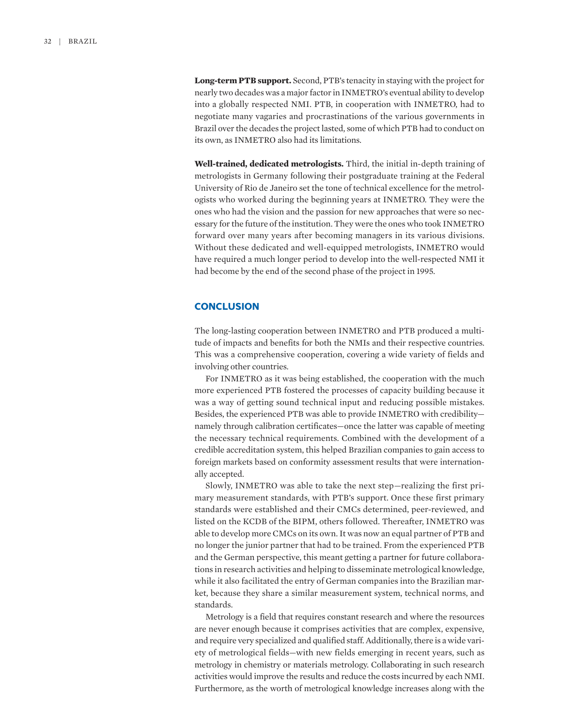**Long-term PTB support.** Second, PTB's tenacity in staying with the project for nearly two decades was a major factor in INMETRO's eventual ability to develop into a globally respected NMI. PTB, in cooperation with INMETRO, had to negotiate many vagaries and procrastinations of the various governments in Brazil over the decades the project lasted, some of which PTB had to conduct on its own, as INMETRO also had its limitations.

**Well-trained, dedicated metrologists.** Third, the initial in-depth training of metrologists in Germany following their postgraduate training at the Federal University of Rio de Janeiro set the tone of technical excellence for the metrologists who worked during the beginning years at INMETRO. They were the ones who had the vision and the passion for new approaches that were so necessary for the future of the institution. They were the ones who took INMETRO forward over many years after becoming managers in its various divisions. Without these dedicated and well-equipped metrologists, INMETRO would have required a much longer period to develop into the well-respected NMI it had become by the end of the second phase of the project in 1995.

## **CONCLUSION**

The long-lasting cooperation between INMETRO and PTB produced a multitude of impacts and benefits for both the NMIs and their respective countries. This was a comprehensive cooperation, covering a wide variety of fields and involving other countries.

For INMETRO as it was being established, the cooperation with the much more experienced PTB fostered the processes of capacity building because it was a way of getting sound technical input and reducing possible mistakes. Besides, the experienced PTB was able to provide INMETRO with credibility namely through calibration certificates—once the latter was capable of meeting the necessary technical requirements. Combined with the development of a credible accreditation system, this helped Brazilian companies to gain access to foreign markets based on conformity assessment results that were internationally accepted.

Slowly, INMETRO was able to take the next step—realizing the first primary measurement standards, with PTB's support. Once these first primary standards were established and their CMCs determined, peer-reviewed, and listed on the KCDB of the BIPM, others followed. Thereafter, INMETRO was able to develop more CMCs on its own. It was now an equal partner of PTB and no longer the junior partner that had to be trained. From the experienced PTB and the German perspective, this meant getting a partner for future collaborations in research activities and helping to disseminate metrological knowledge, while it also facilitated the entry of German companies into the Brazilian market, because they share a similar measurement system, technical norms, and standards.

Metrology is a field that requires constant research and where the resources are never enough because it comprises activities that are complex, expensive, and require very specialized and qualified staff. Additionally, there is a wide variety of metrological fields—with new fields emerging in recent years, such as metrology in chemistry or materials metrology. Collaborating in such research activities would improve the results and reduce the costs incurred by each NMI. Furthermore, as the worth of metrological knowledge increases along with the